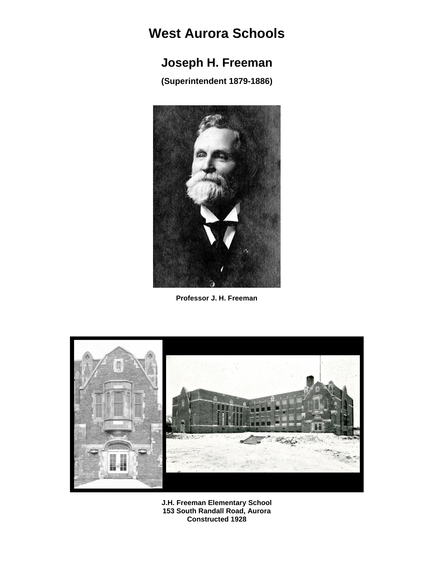# **West Aurora Schools**

# **Joseph H. Freeman**

**(Superintendent 1879-1886)**



**Professor J. H. Freeman**



**J.H. Freeman Elementary School 153 South Randall Road, Aurora Constructed 1928**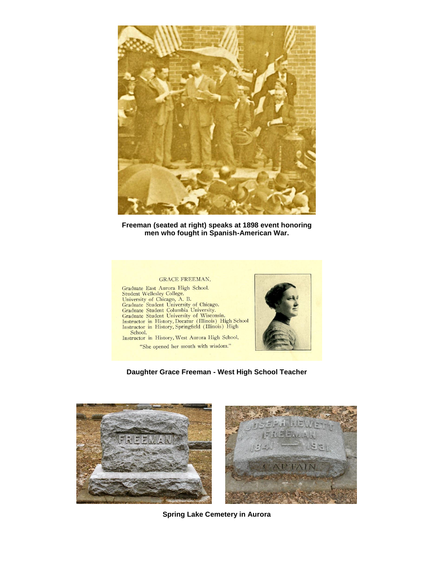

**Freeman (seated at right) speaks at 1898 event honoring men who fought in Spanish-American War.**

#### **GRACE FREEMAN.**

Graduate East Auctory Hominan,<br>
Student Wellesley College.<br>
University of Chicago, A. B.<br>
Graduate Student University of Chicago.<br>
Graduate Student Coumbia University.<br>
Graduate Student University of Wisconsin.<br>
Instructor Instructor in History, West Aurora High School.

"She opened her mouth with wisdom."



**Daughter Grace Freeman - West High School Teacher**



**Spring Lake Cemetery in Aurora**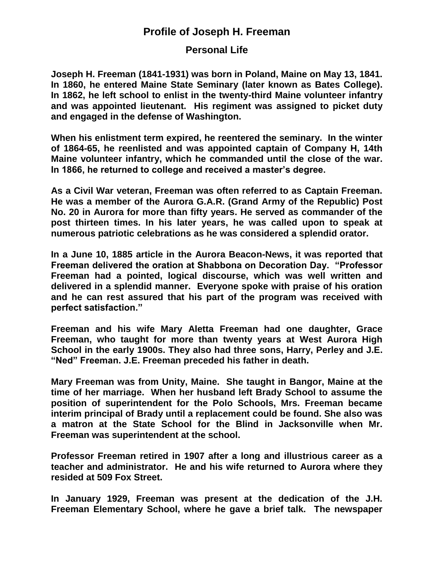## **Profile of Joseph H. Freeman**

## **Personal Life**

**Joseph H. Freeman (1841-1931) was born in Poland, Maine on May 13, 1841. In 1860, he entered Maine State Seminary (later known as Bates College). In 1862, he left school to enlist in the twenty-third Maine volunteer infantry and was appointed lieutenant. His regiment was assigned to picket duty and engaged in the defense of Washington.** 

**When his enlistment term expired, he reentered the seminary. In the winter of 1864-65, he reenlisted and was appointed captain of Company H, 14th Maine volunteer infantry, which he commanded until the close of the war. In 1866, he returned to college and received a master's degree.**

**As a Civil War veteran, Freeman was often referred to as Captain Freeman. He was a member of the Aurora G.A.R. (Grand Army of the Republic) Post No. 20 in Aurora for more than fifty years. He served as commander of the post thirteen times. In his later years, he was called upon to speak at numerous patriotic celebrations as he was considered a splendid orator.** 

**In a June 10, 1885 article in the Aurora Beacon-News, it was reported that Freeman delivered the oration at Shabbona on Decoration Day. "Professor Freeman had a pointed, logical discourse, which was well written and delivered in a splendid manner. Everyone spoke with praise of his oration and he can rest assured that his part of the program was received with perfect satisfaction."**

**Freeman and his wife Mary Aletta Freeman had one daughter, Grace Freeman, who taught for more than twenty years at West Aurora High School in the early 1900s. They also had three sons, Harry, Perley and J.E. "Ned" Freeman. J.E. Freeman preceded his father in death.**

**Mary Freeman was from Unity, Maine. She taught in Bangor, Maine at the time of her marriage. When her husband left Brady School to assume the position of superintendent for the Polo Schools, Mrs. Freeman became interim principal of Brady until a replacement could be found. She also was a matron at the State School for the Blind in Jacksonville when Mr. Freeman was superintendent at the school.** 

**Professor Freeman retired in 1907 after a long and illustrious career as a teacher and administrator. He and his wife returned to Aurora where they resided at 509 Fox Street.**

**In January 1929, Freeman was present at the dedication of the J.H. Freeman Elementary School, where he gave a brief talk. The newspaper**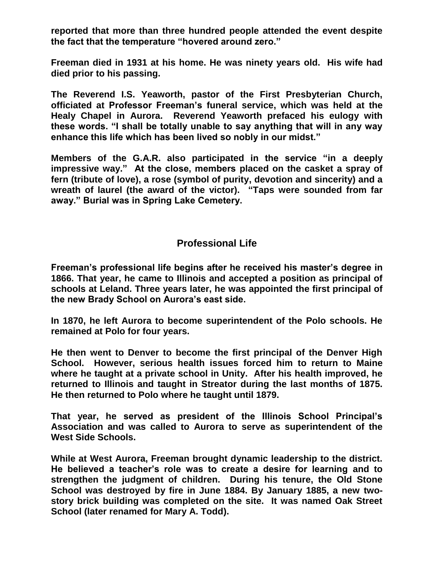**reported that more than three hundred people attended the event despite the fact that the temperature "hovered around zero."**

**Freeman died in 1931 at his home. He was ninety years old. His wife had died prior to his passing.**

**The Reverend I.S. Yeaworth, pastor of the First Presbyterian Church, officiated at Professor Freeman's funeral service, which was held at the Healy Chapel in Aurora. Reverend Yeaworth prefaced his eulogy with these words. "I shall be totally unable to say anything that will in any way enhance this life which has been lived so nobly in our midst."**

**Members of the G.A.R. also participated in the service "in a deeply impressive way." At the close, members placed on the casket a spray of fern (tribute of love), a rose (symbol of purity, devotion and sincerity) and a wreath of laurel (the award of the victor). "Taps were sounded from far away." Burial was in Spring Lake Cemetery.**

### **Professional Life**

**Freeman's professional life begins after he received his master's degree in 1866. That year, he came to Illinois and accepted a position as principal of schools at Leland. Three years later, he was appointed the first principal of the new Brady School on Aurora's east side.** 

**In 1870, he left Aurora to become superintendent of the Polo schools. He remained at Polo for four years.**

**He then went to Denver to become the first principal of the Denver High School. However, serious health issues forced him to return to Maine where he taught at a private school in Unity. After his health improved, he returned to Illinois and taught in Streator during the last months of 1875. He then returned to Polo where he taught until 1879.**

**That year, he served as president of the Illinois School Principal's Association and was called to Aurora to serve as superintendent of the West Side Schools.**

**While at West Aurora, Freeman brought dynamic leadership to the district. He believed a teacher's role was to create a desire for learning and to strengthen the judgment of children. During his tenure, the Old Stone School was destroyed by fire in June 1884. By January 1885, a new twostory brick building was completed on the site. It was named Oak Street School (later renamed for Mary A. Todd).**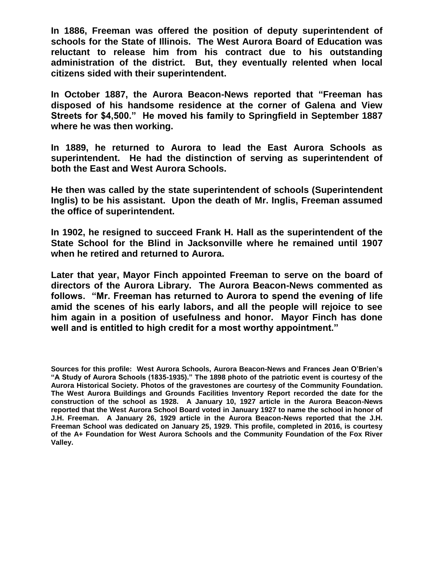**In 1886, Freeman was offered the position of deputy superintendent of schools for the State of Illinois. The West Aurora Board of Education was reluctant to release him from his contract due to his outstanding administration of the district. But, they eventually relented when local citizens sided with their superintendent.**

**In October 1887, the Aurora Beacon-News reported that "Freeman has disposed of his handsome residence at the corner of Galena and View Streets for \$4,500." He moved his family to Springfield in September 1887 where he was then working.**

**In 1889, he returned to Aurora to lead the East Aurora Schools as superintendent. He had the distinction of serving as superintendent of both the East and West Aurora Schools.**

**He then was called by the state superintendent of schools (Superintendent Inglis) to be his assistant. Upon the death of Mr. Inglis, Freeman assumed the office of superintendent.**

**In 1902, he resigned to succeed Frank H. Hall as the superintendent of the State School for the Blind in Jacksonville where he remained until 1907 when he retired and returned to Aurora.**

**Later that year, Mayor Finch appointed Freeman to serve on the board of directors of the Aurora Library. The Aurora Beacon-News commented as follows. "Mr. Freeman has returned to Aurora to spend the evening of life amid the scenes of his early labors, and all the people will rejoice to see him again in a position of usefulness and honor. Mayor Finch has done well and is entitled to high credit for a most worthy appointment."** 

**Sources for this profile: West Aurora Schools, Aurora Beacon-News and Frances Jean O'Brien's "A Study of Aurora Schools (1835-1935)." The 1898 photo of the patriotic event is courtesy of the Aurora Historical Society. Photos of the gravestones are courtesy of the Community Foundation. The West Aurora Buildings and Grounds Facilities Inventory Report recorded the date for the construction of the school as 1928. A January 10, 1927 article in the Aurora Beacon-News reported that the West Aurora School Board voted in January 1927 to name the school in honor of J.H. Freeman. A January 26, 1929 article in the Aurora Beacon-News reported that the J.H. Freeman School was dedicated on January 25, 1929. This profile, completed in 2016, is courtesy of the A+ Foundation for West Aurora Schools and the Community Foundation of the Fox River Valley.**